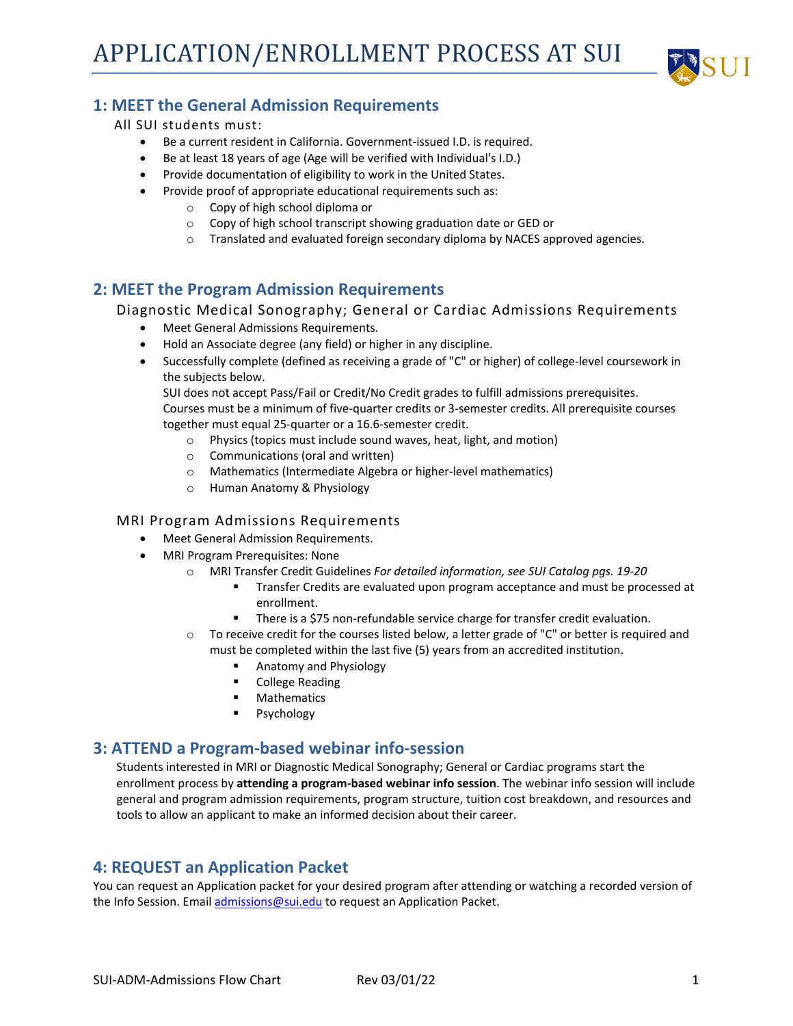

# **1: MEET the General Admission Requirements**

#### All SUI students must:

- Be a current resident in California. Government-issued I.D. is required.
- Be at least 18 years of age (Age will be verified with Individual's I.D.)
- Provide documentation of eligibility to work in the United States.
- Provide proof of appropriate educational requirements such as:
	- o Copy of high school diploma or
	- o Copy of high school transcript showing graduation date or GED or
	- $\circ$  Translated and evaluated foreign secondary diploma by NACES approved agencies.

## **2: MEET the Program Admission Requirements**

#### Diagnostic Medical Sonography; General or Cardiac Admissions Requirements

- Meet General Admissions Requirements.
- Hold an Associate degree (any field) or higher in any discipline.
- Successfully complete (defined as receiving a grade of "C" or higher) of college-level coursework in the subjects below.

SUI does not accept Pass/Fail or Credit/No Credit grades to fulfill admissions prerequisites. Courses must be a minimum of five-quarter credits or 3-semester credits. All prerequisite courses together must equal 25-quarter or a 16.6-semester credit.

- o Physics (topics must include sound waves, heat, light, and motion)
- o Communications (oral and written)
- o Mathematics (Intermediate Algebra or higher-level mathematics)
- o Human Anatomy & Physiology

#### MRI Program Admissions Requirements

- Meet General Admission Requirements.
- MRI Program Prerequisites: None
	- o MRI Transfer Credit Guidelines *For detailed information, see SUI Catalog pgs. 19-20*
		- Transfer Credits are evaluated upon program acceptance and must be processed at enrollment.
		- **There is a \$75 non-refundable service charge for transfer credit evaluation.**
	- o To receive credit for the courses listed below, a letter grade of "C" or better is required and must be completed within the last five (5) years from an accredited institution.
		- Anatomy and Physiology
		- **College Reading**<br>**B.** Mathematics
		- Mathematics
		- **Psychology**

#### **3: ATTEND a Program-based webinar info-session**

Students interested in MRI or Diagnostic Medical Sonography; General or Cardiac programs start the enrollment process by **attending a program-based webinar info session**. The webinar info session will include general and program admission requirements, program structure, tuition cost breakdown, and resources and tools to allow an applicant to make an informed decision about their career.

# **4: REQUEST an Application Packet**

You can request an Application packet for your desired program after attending or watching a recorded version of the Info Session. Emai[l admissions@sui.edu](mailto:admissions@sui.edu) to request an Application Packet.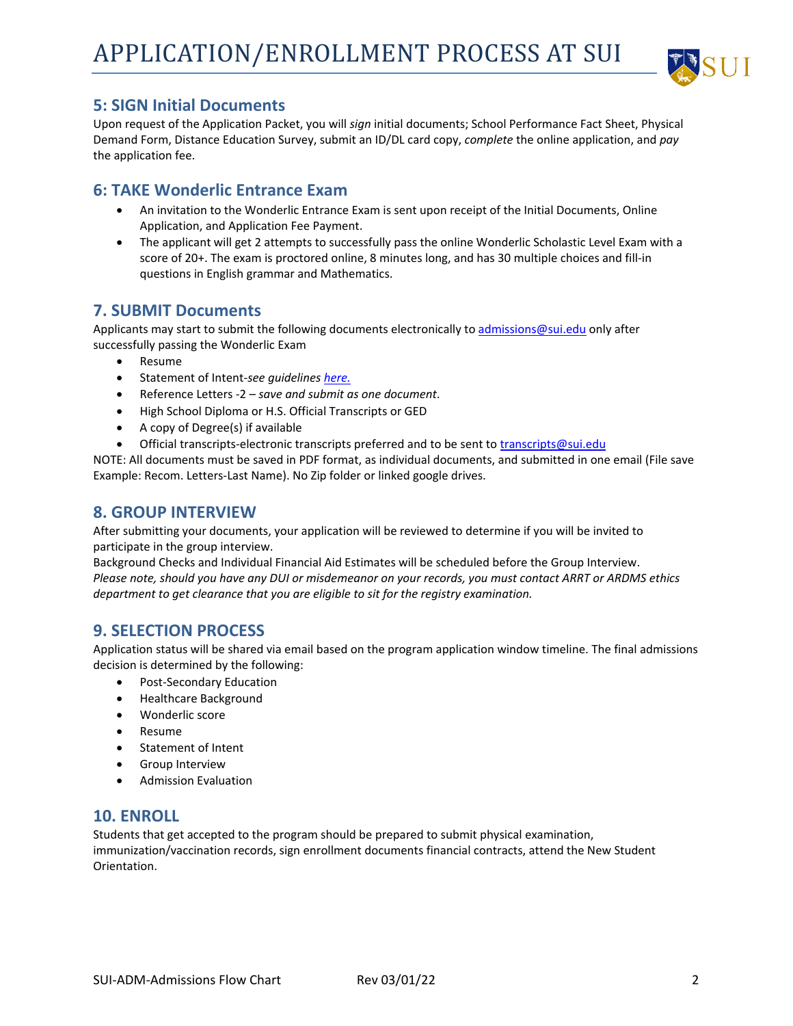

## **5: SIGN Initial Documents**

Upon request of the Application Packet, you will *sign* initial documents; School Performance Fact Sheet, Physical Demand Form, Distance Education Survey, submit an ID/DL card copy, *complete* the online application, and *pay* the application fee.

### **6: TAKE Wonderlic Entrance Exam**

- An invitation to the Wonderlic Entrance Exam is sent upon receipt of the Initial Documents, Online Application, and Application Fee Payment.
- The applicant will get 2 attempts to successfully pass the online Wonderlic Scholastic Level Exam with a score of 20+. The exam is proctored online, 8 minutes long, and has 30 multiple choices and fill-in questions in English grammar and Mathematics.

# **7. SUBMIT Documents**

Applicants may start to submit the following documents electronically t[o admissions@sui.edu](mailto:admissions@sui.edu) only after successfully passing the Wonderlic Exam

- Resume
- Statement of Intent-*see guidelines [here.](https://f2.leadsquaredcdn.com/t/sui/content/common/documents/Statement%20of%20Intent-2022.pdf)*
- Reference Letters -2 *save and submit as one document*.
- High School Diploma or H.S. Official Transcripts or GED
- A copy of Degree(s) if available
- Official transcripts-electronic transcripts preferred and to be sent to [transcripts@sui.edu](mailto:transcripts@sui.edu)

NOTE: All documents must be saved in PDF format, as individual documents, and submitted in one email (File save Example: Recom. Letters-Last Name). No Zip folder or linked google drives.

### **8. GROUP INTERVIEW**

After submitting your documents, your application will be reviewed to determine if you will be invited to participate in the group interview.

Background Checks and Individual Financial Aid Estimates will be scheduled before the Group Interview. *Please note, should you have any DUI or misdemeanor on your records, you must contact ARRT or ARDMS ethics department to get clearance that you are eligible to sit for the registry examination.* 

# **9. SELECTION PROCESS**

Application status will be shared via email based on the program application window timeline. The final admissions decision is determined by the following:

- Post-Secondary Education
- Healthcare Background
- Wonderlic score
- Resume
- Statement of Intent
- Group Interview
- Admission Evaluation

#### **10. ENROLL**

Students that get accepted to the program should be prepared to submit physical examination, immunization/vaccination records, sign enrollment documents financial contracts, attend the New Student Orientation.